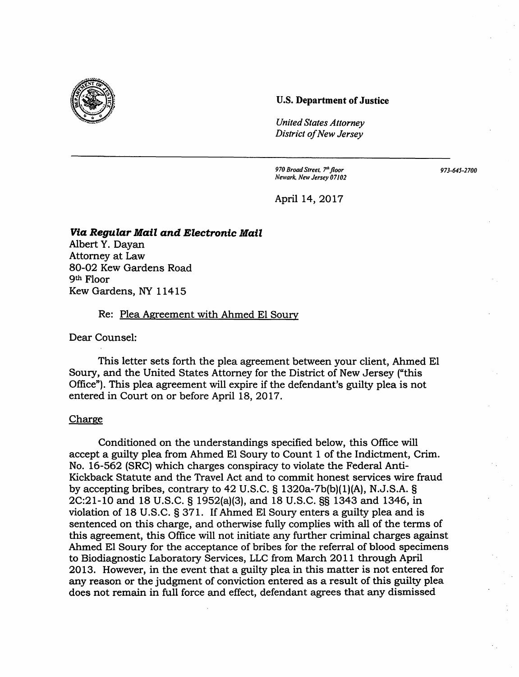

## **U.S. Department of Justice**

*United States Attorney District of New Jersey* 

*970 Broad Street, 7'h floor Newark. New Jersey 07102*  *973-645-2700* 

April 14,2017

## **Via Regular Mail and Electronic Mail**

Albert Y. Dayan Attorney at Law 80-02 Kew Gardens Road 9th Floor Kew Gardens, NY 11415

## Re: Plea Agreement with Ahmed El Soury

Dear Counsel:

This letter sets forth the plea agreement between your client, Ahmed El Soury, and the United States Attorney for the District of New Jersey ("this Office"). **This** plea agreement will expire if the defendant's guilty plea is not entered in Court on or before April 18, 2017.

## Charge

Conditioned on the understandings specified below, this Office will accept a guilty plea from Ahmed El Soury to Count 1 of the Indictment, Crim. No. 16-562 (SRC) which charges conspiracy to violate the Federal Anti-Kickback Statute and the Travel Act and to commit honest services wire fraud by accepting bribes, contrary to 42 U.S.C.  $\S$  1320a-7b(b)(1)(A), N.J.S.A.  $\S$ 2C:21-10 and 18 U.S.C. § 1952(a)(3), and 18 U.S.C. §§ 1343 and 1346, in violation of 18 U.S.C. § 371. If Ahmed El Soury enters a guilty plea and is sentenced on this charge, and otherwise fully complies with all of the terms of this agreement, this Office will not initiate any further criminal charges against Ahmed El Soury for the acceptance of bribes for the referral of blood specimens to Biodiagnostic Laboratory Services, LLC from March 2011 through April 2013. However, in the event that a guilty plea in this matter is not entered for any reason or the judgment of conviction entered as a result of this guilty plea does not remain in full force and effect, defendant agrees that any dismissed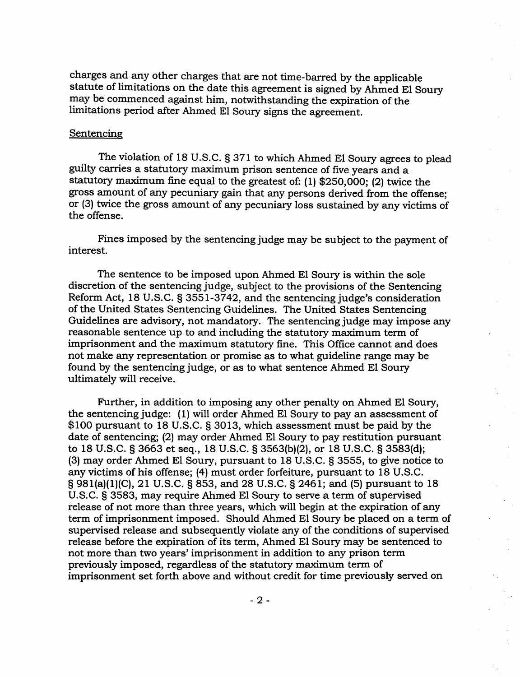charges and any other charges that are not time-barred by the applicable statute of limitations on the date this agreement is signed by Ahmed El Soury may be commenced against him, notwithstanding the expiration of the limitations period after Ahmed El Soury signs the agreement.

### Sentencing

The violation of 18 U.S.C. § 371 to which Ahmed El Soury agrees to plead guilty carries a statutory maximum prison sentence of five years and a statutory maximum fine equal to the greatest of: (1) \$250,000; (2) twice the gross amount of any pecuniary gain that any persons derived from the offense; or (3) twice the gross amount of any pecuniary loss sustained by any victims of the offense.

Fines imposed by the sentencing judge may be subject to the payment of interest.

The sentence to be imposed upon Ahmed El Soury is within the sole discretion of the sentencing judge, subject to the provisions of the Sentencing Reform Act, 18 U.S.C. § 3551-3742, and the sentencing judge's consideration of the United States Sentencing Guidelines. The United States Sentencing Guidelines are advisory, not mandatory. The sentencing judge may impose any reasonable sentence up to and including the statutory maximum term of imprisonment and the maximum statutory fine. This Office cannot and does not make any representation or promise as to what guideline range may be found by the sentencing judge, or as to what sentence Ahmed El Soury ultimately will receive.

Further, in addition to imposing any other penalty on Ahmed El Soury, the sentencing judge: ( 1) will order Ahmed El Soury to pay an assessment of \$100 pursuant to 18 U.S.C. § 3013, which assessment must be paid by the date of sentencing; (2) may order Ahmed El Soury to pay restitution pursuant to 18 U.S.C. § 3663 et seq., 18 U.S.C. § 3563(b)(2), or 18 U.S.C. § 3583(d); (3) may order Ahmed El Soury, pursuant to 18 U.S.C. § 3555, to give notice to any victims of his offense; (4) must order forfeiture, pursuant to 18 U.S.C. § 981(a)(l)(C), 21 U.S.C. § 853, and 28 U.S.C. § 2461; and (5) pursuant to 18 U.S.C. § 3583, may require Ahmed El Soury to serve a term of supervised release of not more than three years, which will begin at the expiration of any term of imprisonment imposed. Should Ahmed El Soury be placed on a term of supervised release and subsequently violate any of the conditions of supervised release before the expiration of its term, Ahmed El Soury may be sentenced to not more than two years' imprisonment in addition to any prison term previously imposed, regardless of the statutory maximum term of imprisonment set forth above and without credit for time previously served on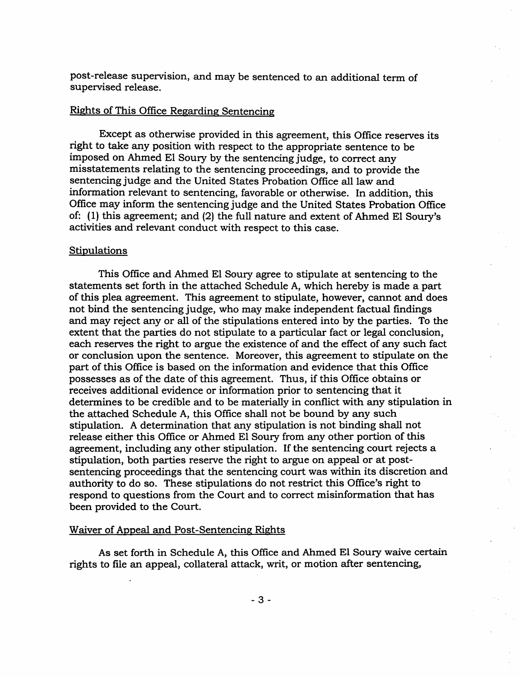post-release supervision, and may be sentenced to an additional term of supervised release.

# Rights of This Office Regarding Sentencing

Except as otherwise provided in this agreement, this Office reserves its right to take any position with respect to the appropriate sentence to be imposed on Ahmed El Soury by the sentencing judge, to correct any misstatements relating to the sentencing proceedings, and to provide the sentencing judge and the United States Probation Office all law and information relevant to sentencing, favorable or otherwise. In addition, this Office may inform the sentencing judge and the United States Probation Office of: (1) this agreement; and (2) the full nature and extent of Ahmed El Soury's activities and relevant conduct with respect to this case.

#### **Stipulations**

This Office and Ahmed El Soury agree to stipulate at sentencing to the statements set forth in the attached Schedule A, which hereby is made a part of this plea agreement. This agreement to stipulate, however, cannot and does not bind the sentencing judge, who may make independent factual findings and may reject any or all of the stipulations entered into by the parties. To the extent that the parties do not stipulate to a particular fact or legal conclusion, each reserves the right to argue the existence of and the effect of any such fact or conclusion upon the sentence. Moreover, this agreement to stipulate on the part of this Office is based on the information and evidence that this Office possesses as of the date of this agreement. Thus, if this Office obtains or receives additional evidence or information prior to sentencing that it determines to be credible and to be materially in conflict with any stipulation in the attached Schedule A, this Office shall not be bound by any such stipulation. A determination that any stipulation is not binding shall not release either this Office or Ahmed El Soury from any other portion of this agreement, including any other stipulation. If the sentencing court rejects a stipulation, both parties reserve the right to argue on appeal or at postsentencing proceedings that the sentencing court was within its discretion and authority to do so. These stipulations do not restrict this Office's right to respond to questions from the Court and to correct misinformation that has been provided to the Court.

#### Waiver of Appeal and Post-Sentencing Rights

As set forth in Schedule A, this Office and Ahmed El Soury waive certain rights to file an appeal, collateral attack, writ, or motion after sentencing,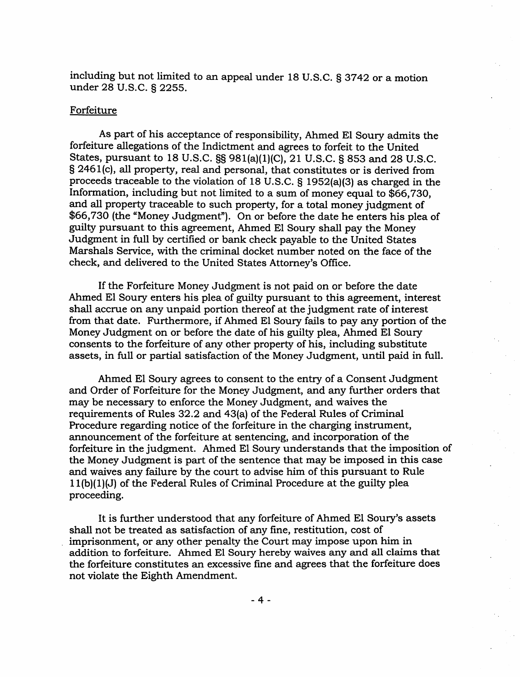including but not limited to an appeal under 18 U.S.C. § 3742 or a motion under 28 U.S.C. § 2255.

## Forfeiture

As part of his acceptance of responsibility, Ahmed El Soury admits the forfeiture allegations of the Indictment and agrees to forfeit to the United States, pursuant to 18 U.S.C. §§ 981(a)(l)(C), 21 U.S.C. § 853 and 28 U.S.C. § 2461(c), all property, real and personal, that constitutes or is derived from proceeds traceable to the violation of 18 U.S.C. § 1952(a)(3) as charged in the Information, including but not limited to a sum of money equal to \$66, 730, and all property traceable to such property, for a total money judgment of \$66,730 (the "Money Judgment"). On or before the date he enters his plea of guilty pursuant to this agreement, Ahmed El Soury shall pay the Money Judgment in full by certified or bank check payable to the United States Marshals Service, with the criminal docket number noted on the face of the check, and delivered to the United States Attorney's Office.

If the Forfeiture Money Judgment is not paid on or before the date Ahmed El Soury enters his plea of guilty pursuant to this agreement, interest shall accrue on any unpaid portion thereof at the judgment rate of interest from that date. Furthermore, if Ahmed El Soury fails to pay any portion of the Money Judgment on or before the date of his guilty plea, Ahmed El Soury consents to the forfeiture of any other property of his, including substitute assets, in full or partial satisfaction of the Money Judgment, until paid in full.

Ahmed El Soury agrees to consent to the entry of a Consent Judgment and Order of Forfeiture for the Money Judgment, and any further orders that may be necessary to enforce the Money Judgment, and waives the requirements of Rules 32.2 and 43(a) of the Federal Rules of Criminal Procedure regarding notice of the forfeiture in the charging instrument, announcement of the forfeiture at sentencing, and incorporation of the forfeiture in the judgment. Ahmed El Soury understands that the imposition of the Money Judgment is part of the sentence that may be imposed in this case and waives any failure by the court to advise him of this pursuant to Rule 1 l(b)(l)(J) of the Federal Rules of Criminal Procedure at the guilty plea proceeding.

It is further understood that any forfeiture of Ahmed El Soury's assets shall not be treated as satisfaction of any fine, restitution, cost of imprisonment, or any other penalty the Court may impose upon him in addition to forfeiture. Ahmed El Soury hereby waives any and all claims that the forfeiture constitutes an excessive fine and agrees that the forfeiture does not violate the Eighth Amendment.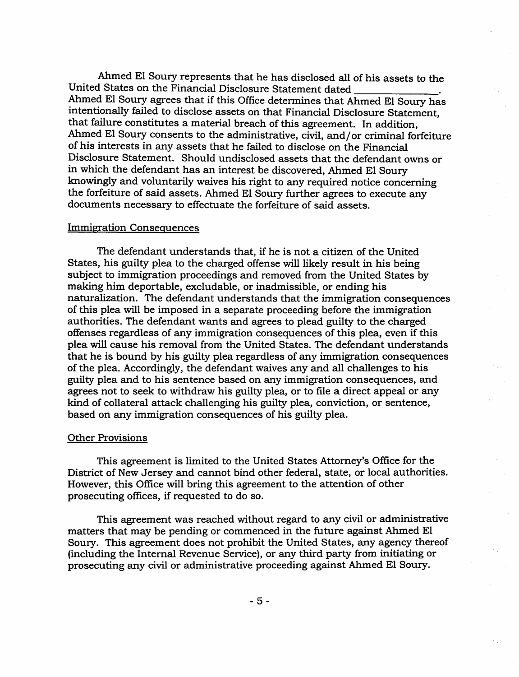Ahmed El Soury represents that he has disclosed all of his assets to the United States on the Financial Disclosure Statement dated . Ahmed El Soury agrees that if this Office determines that Ahmed El Soury has intentionally failed to disclose assets on that Financial Disclosure Statement, that failure constitutes a material breach of this agreement. In addition, Ahmed El Soury consents to the administrative, civil, and/or criminal forfeiture of his interests in any assets that he failed to disclose on the Financial Disclosure Statement. Should undisclosed assets that the defendant owns or in which the defendant has an interest be discovered, Ahmed El Soury knowingly and voluntarily waives his right to any required notice concerning the forfeiture of said assets. Ahmed El Soury further agrees to execute any documents necessary to effectuate the forfeiture of said assets.

## Immigration Consequences

The defendant understands that, if he is not a citizen of the United States, his guilty plea to the charged offense will likely result in his being subject to immigration proceedings and removed from the United States by making him deportable, excludable, or inadmissible, or ending his naturalization. The defendant understands that the immigration consequences of this plea will be imposed in a separate proceeding before the immigration authorities. The defendant wants and agrees to plead guilty to the charged offenses regardless of any immigration consequences of this plea, even if this plea will cause his removal from the United States. The defendant understands that he is bound by his guilty plea regardless of any immigration consequences of the plea. Accordingly, the defendant waives any and all challenges to his guilty plea and to his sentence based on any immigration consequences, and agrees not to seek to withdraw his guilty plea, or to file a direct appeal or any kind of collateral attack challenging his guilty plea, conviction, or sentence, based on any immigration consequences of his guilty plea.

#### Other Provisions

This agreement is limited to the United States Attorney's Office for the District of New Jersey and cannot bind other federal, state, or local authorities. However, this Office will bring this agreement to the attention of other prosecuting offices, if requested to do so.

This agreement was reached without regard to any civil or administrative matters that may be pending or commenced in the future against Ahmed El Soury. This agreement does not prohibit the United States, any agency thereof (including the Internal Revenue Service), or any third party from initiating or prosecuting any civil or administrative proceeding against Ahmed El Soury.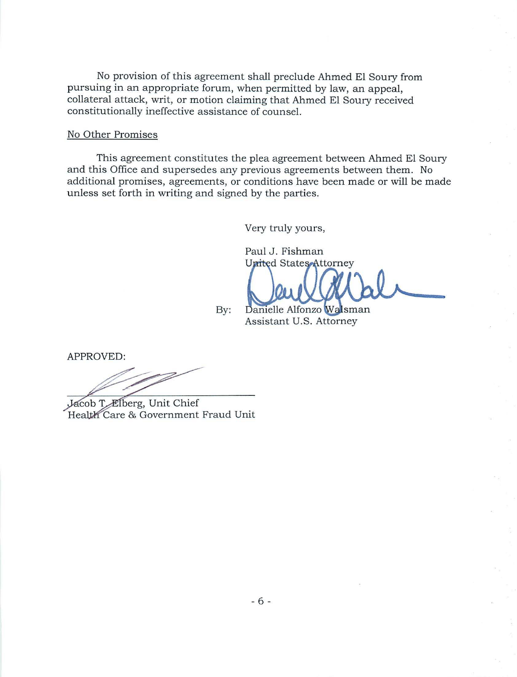No provision of this agreement shall preclude Ahmed El Soury from pursuing in an appropriate forum, when permitted by law, an appeal, collateral attack, writ, or motion claiming that Ahmed El Soury received constitutionally ineffective assistance of counsel.

## No Other Promises

This agreement constitutes the plea agreement between Ahmed El Soury and this Office and supersedes any previous agreements between them. No additional promises, agreements, or conditions have been made or will be made unless set forth in writing and signed by the parties.

Very truly yours,

Paul J. Fishman **United States Attorney** 

By: Danielle Alfonzo Walsman Assistant U.S. Attorney

APPROVED:

Jacob T. Elberg, Unit Chief Health Care & Government Fraud Unit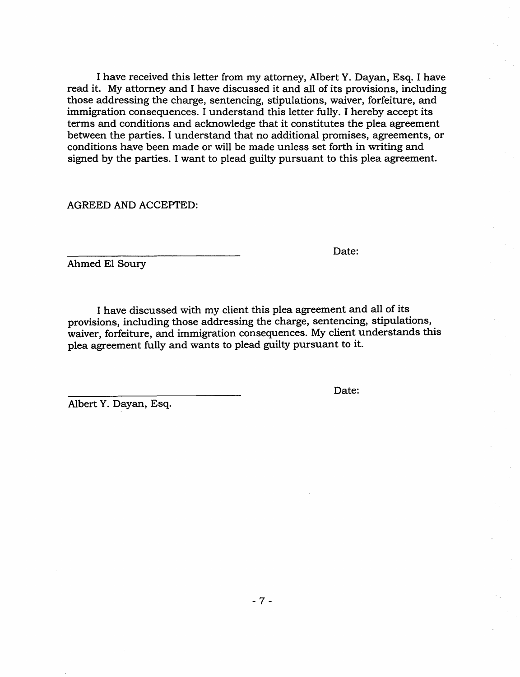I have received this letter from my attorney, Albert Y. Dayan, Esq. I have read it. My attorney and I have discussed it and all of its provisions, including those addressing the charge, sentencing, stipulations, waiver, forfeiture, and immigration consequences. I understand this letter fully. I hereby accept its terms and conditions and acknowledge that it constitutes the plea agreement between the parties. I understand that no additional promises, agreements, or conditions have been made or will be made unless set forth in writing and signed by the parties. I want to plead guilty pursuant to this plea agreement.

AGREED AND ACCEPTED:

Date:

Date:

Ahmed El Soury

I have discussed with my client this plea agreement and all of its provisions, including those addressing the charge, sentencing, stipulations, waiver, forfeiture, and immigration consequences. My client understands this plea agreement fully and wants to plead guilty pursuant to it.

Albert Y. Dayan, Esq.